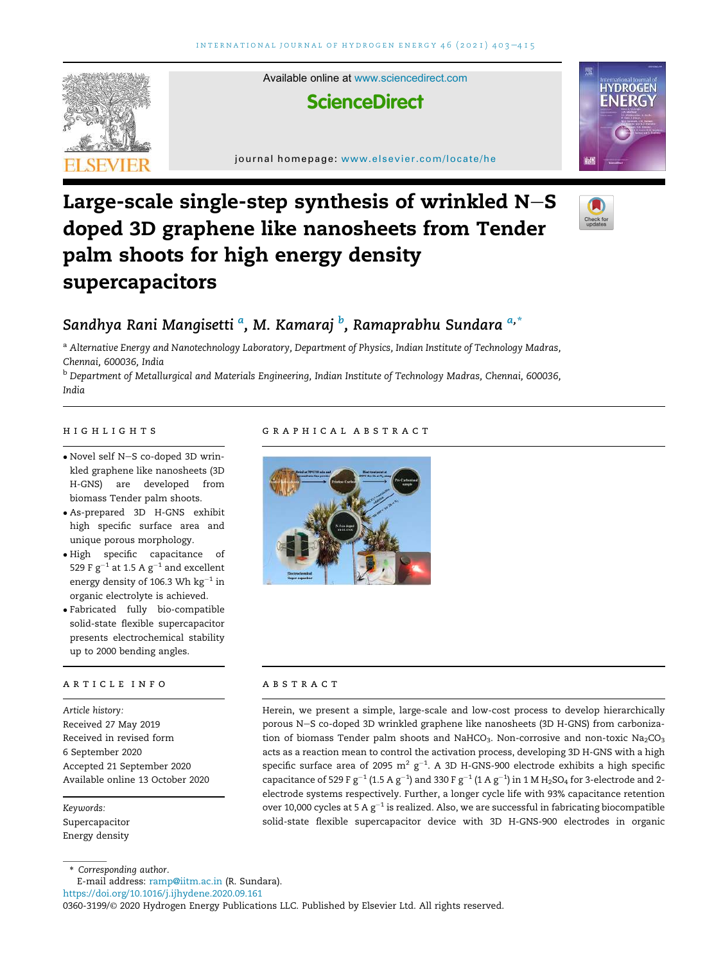



# Large-scale single-step synthesis of wrinkled  $N-S$ doped 3D graphene like nanosheets from Tender palm shoots for high energy density supercapacitors



## Sandhya Rani Mangisetti <sup>a</sup>, M. Kamaraj <sup>b</sup>, Ramaprabhu Sundara <sup>a,</sup>\*

a Alternative Energy and Nanotechnology Laboratory, Department of Physics, Indian Institute of Technology Madras, Chennai, 600036, India

<sup>b</sup> Department of Metallurgical and Materials Engineering, Indian Institute of Technology Madras, Chennai, 600036, India

- Novel self N-S co-doped 3D wrinkled graphene like nanosheets (3D H-GNS) are developed from biomass Tender palm shoots.
- As-prepared 3D H-GNS exhibit high specific surface area and unique porous morphology.
- High specific capacitance of 529 F  $\rm g^{-1}$  at 1.5 A  $\rm g^{-1}$  and excellent energy density of 106.3 Wh  $\rm kg^{-1}$  in organic electrolyte is achieved.
- Fabricated fully bio-compatible solid-state flexible supercapacitor presents electrochemical stability up to 2000 bending angles.

#### article info

Article history: Received 27 May 2019 Received in revised form 6 September 2020 Accepted 21 September 2020 Available online 13 October 2020

Keywords: Supercapacitor Energy density

\* Corresponding author.

#### E-mail address: ramp@iitm.ac.in (R. Sundara).

https://doi.org/10.1016/j.ijhydene.2020.09.161

#### 0360-3199/© 2020 Hydrogen Energy Publications LLC. Published by Elsevier Ltd. All rights reserved.

#### highlights graphical abstract



### ABSTRACT

Herein, we present a simple, large-scale and low-cost process to develop hierarchically porous N-S co-doped 3D wrinkled graphene like nanosheets (3D H-GNS) from carbonization of biomass Tender palm shoots and NaHCO<sub>3</sub>. Non-corrosive and non-toxic Na<sub>2</sub>CO<sub>3</sub> acts as a reaction mean to control the activation process, developing 3D H-GNS with a high specific surface area of 2095  $\mathrm{m^2~g^{-1}}.$  A 3D H-GNS-900 electrode exhibits a high specific capacitance of 529 F g $^{-1}$  (1.5 A g $^{-1}$ ) and 330 F g $^{-1}$  (1 A g $^{-1}$ ) in 1 M H $_2$ SO $_4$  for 3-electrode and 2electrode systems respectively. Further, a longer cycle life with 93% capacitance retention over 10,000 cycles at 5 A g $^{-1}$  is realized. Also, we are successful in fabricating biocompatible solid-state flexible supercapacitor device with 3D H-GNS-900 electrodes in organic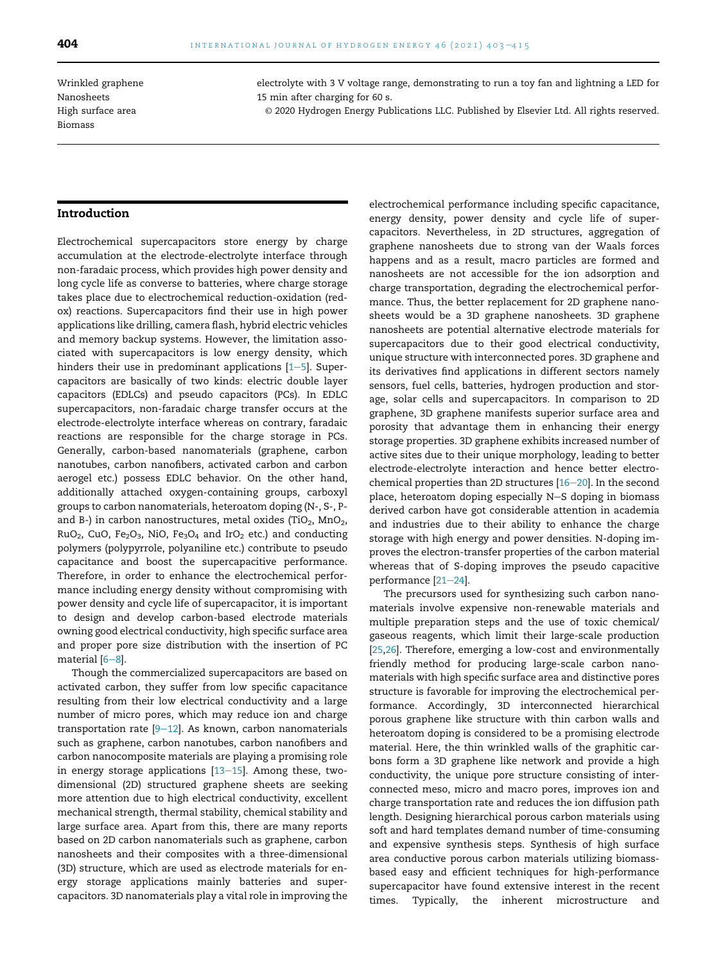Wrinkled graphene Nanosheets High surface area Biomass

electrolyte with 3 V voltage range, demonstrating to run a toy fan and lightning a LED for 15 min after charging for 60 s.

© 2020 Hydrogen Energy Publications LLC. Published by Elsevier Ltd. All rights reserved.

#### Introduction

Electrochemical supercapacitors store energy by charge accumulation at the electrode-electrolyte interface through non-faradaic process, which provides high power density and long cycle life as converse to batteries, where charge storage takes place due to electrochemical reduction-oxidation (redox) reactions. Supercapacitors find their use in high power applications like drilling, camera flash, hybrid electric vehicles and memory backup systems. However, the limitation associated with supercapacitors is low energy density, which hinders their use in predominant applications  $[1-5]$ . Supercapacitors are basically of two kinds: electric double layer capacitors (EDLCs) and pseudo capacitors (PCs). In EDLC supercapacitors, non-faradaic charge transfer occurs at the electrode-electrolyte interface whereas on contrary, faradaic reactions are responsible for the charge storage in PCs. Generally, carbon-based nanomaterials (graphene, carbon nanotubes, carbon nanofibers, activated carbon and carbon aerogel etc.) possess EDLC behavior. On the other hand, additionally attached oxygen-containing groups, carboxyl groups to carbon nanomaterials, heteroatom doping (N-, S-, Pand B-) in carbon nanostructures, metal oxides (TiO<sub>2</sub>, MnO<sub>2</sub>,  $RuO<sub>2</sub>$ , CuO, Fe<sub>2</sub>O<sub>3</sub>, NiO, Fe<sub>3</sub>O<sub>4</sub> and IrO<sub>2</sub> etc.) and conducting polymers (polypyrrole, polyaniline etc.) contribute to pseudo capacitance and boost the supercapacitive performance. Therefore, in order to enhance the electrochemical performance including energy density without compromising with power density and cycle life of supercapacitor, it is important to design and develop carbon-based electrode materials owning good electrical conductivity, high specific surface area and proper pore size distribution with the insertion of PC material  $[6-8]$ .

Though the commercialized supercapacitors are based on activated carbon, they suffer from low specific capacitance resulting from their low electrical conductivity and a large number of micro pores, which may reduce ion and charge transportation rate  $[9-12]$ . As known, carbon nanomaterials such as graphene, carbon nanotubes, carbon nanofibers and carbon nanocomposite materials are playing a promising role in energy storage applications  $[13-15]$ . Among these, twodimensional (2D) structured graphene sheets are seeking more attention due to high electrical conductivity, excellent mechanical strength, thermal stability, chemical stability and large surface area. Apart from this, there are many reports based on 2D carbon nanomaterials such as graphene, carbon nanosheets and their composites with a three-dimensional (3D) structure, which are used as electrode materials for energy storage applications mainly batteries and supercapacitors. 3D nanomaterials play a vital role in improving the

electrochemical performance including specific capacitance, energy density, power density and cycle life of supercapacitors. Nevertheless, in 2D structures, aggregation of graphene nanosheets due to strong van der Waals forces happens and as a result, macro particles are formed and nanosheets are not accessible for the ion adsorption and charge transportation, degrading the electrochemical performance. Thus, the better replacement for 2D graphene nanosheets would be a 3D graphene nanosheets. 3D graphene nanosheets are potential alternative electrode materials for supercapacitors due to their good electrical conductivity, unique structure with interconnected pores. 3D graphene and its derivatives find applications in different sectors namely sensors, fuel cells, batteries, hydrogen production and storage, solar cells and supercapacitors. In comparison to 2D graphene, 3D graphene manifests superior surface area and porosity that advantage them in enhancing their energy storage properties. 3D graphene exhibits increased number of active sites due to their unique morphology, leading to better electrode-electrolyte interaction and hence better electrochemical properties than 2D structures  $[16-20]$ . In the second place, heteroatom doping especially N-S doping in biomass derived carbon have got considerable attention in academia and industries due to their ability to enhance the charge storage with high energy and power densities. N-doping improves the electron-transfer properties of the carbon material whereas that of S-doping improves the pseudo capacitive performance  $[21-24]$ .

The precursors used for synthesizing such carbon nanomaterials involve expensive non-renewable materials and multiple preparation steps and the use of toxic chemical/ gaseous reagents, which limit their large-scale production [25,26]. Therefore, emerging a low-cost and environmentally friendly method for producing large-scale carbon nanomaterials with high specific surface area and distinctive pores structure is favorable for improving the electrochemical performance. Accordingly, 3D interconnected hierarchical porous graphene like structure with thin carbon walls and heteroatom doping is considered to be a promising electrode material. Here, the thin wrinkled walls of the graphitic carbons form a 3D graphene like network and provide a high conductivity, the unique pore structure consisting of interconnected meso, micro and macro pores, improves ion and charge transportation rate and reduces the ion diffusion path length. Designing hierarchical porous carbon materials using soft and hard templates demand number of time-consuming and expensive synthesis steps. Synthesis of high surface area conductive porous carbon materials utilizing biomassbased easy and efficient techniques for high-performance supercapacitor have found extensive interest in the recent times. Typically, the inherent microstructure and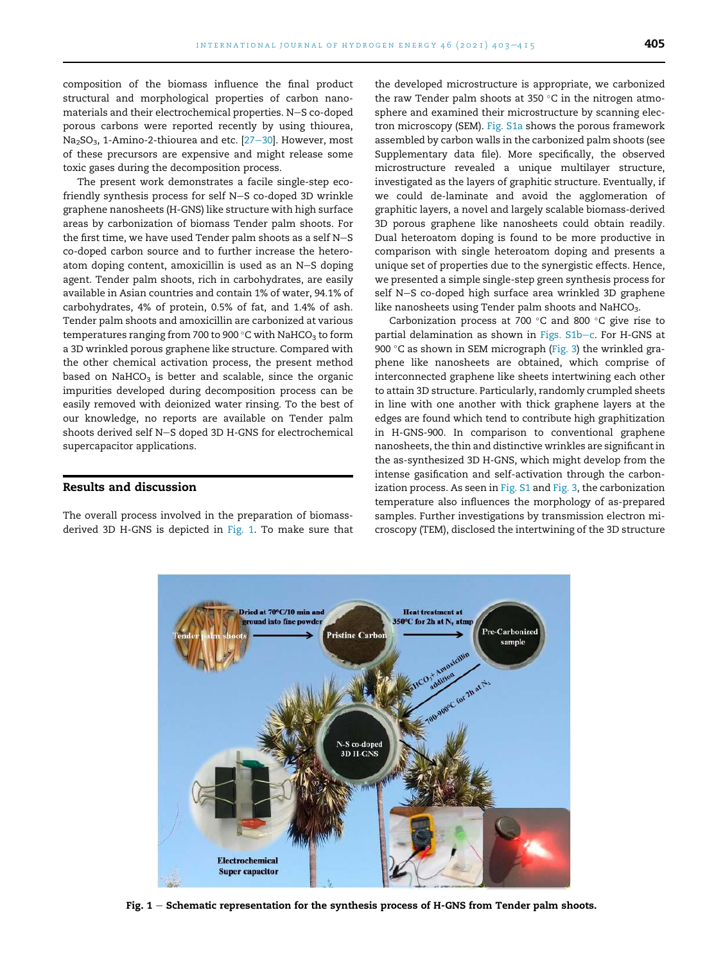composition of the biomass influence the final product structural and morphological properties of carbon nanomaterials and their electrochemical properties. N-S co-doped porous carbons were reported recently by using thiourea,  $Na<sub>2</sub>SO<sub>3</sub>$ , 1-Amino-2-thiourea and etc. [27-30]. However, most of these precursors are expensive and might release some toxic gases during the decomposition process.

The present work demonstrates a facile single-step ecofriendly synthesis process for self  $N-S$  co-doped 3D wrinkle graphene nanosheets (H-GNS) like structure with high surface areas by carbonization of biomass Tender palm shoots. For the first time, we have used Tender palm shoots as a self  $N-S$ co-doped carbon source and to further increase the heteroatom doping content, amoxicillin is used as an N-S doping agent. Tender palm shoots, rich in carbohydrates, are easily available in Asian countries and contain 1% of water, 94.1% of carbohydrates, 4% of protein, 0.5% of fat, and 1.4% of ash. Tender palm shoots and amoxicillin are carbonized at various temperatures ranging from 700 to 900  $^{\circ}$ C with NaHCO<sub>3</sub> to form a 3D wrinkled porous graphene like structure. Compared with the other chemical activation process, the present method based on  $NAHCO<sub>3</sub>$  is better and scalable, since the organic impurities developed during decomposition process can be easily removed with deionized water rinsing. To the best of our knowledge, no reports are available on Tender palm shoots derived self N-S doped 3D H-GNS for electrochemical supercapacitor applications.

#### Results and discussion

The overall process involved in the preparation of biomassderived 3D H-GNS is depicted in Fig. 1. To make sure that

the developed microstructure is appropriate, we carbonized the raw Tender palm shoots at 350  $\degree$ C in the nitrogen atmosphere and examined their microstructure by scanning electron microscopy (SEM). Fig. S1a shows the porous framework assembled by carbon walls in the carbonized palm shoots (see Supplementary data file). More specifically, the observed microstructure revealed a unique multilayer structure, investigated as the layers of graphitic structure. Eventually, if we could de-laminate and avoid the agglomeration of graphitic layers, a novel and largely scalable biomass-derived 3D porous graphene like nanosheets could obtain readily. Dual heteroatom doping is found to be more productive in comparison with single heteroatom doping and presents a unique set of properties due to the synergistic effects. Hence, we presented a simple single-step green synthesis process for self N-S co-doped high surface area wrinkled 3D graphene like nanosheets using Tender palm shoots and NaHCO<sub>3</sub>.

Carbonization process at 700  $\degree$ C and 800  $\degree$ C give rise to partial delamination as shown in Figs. S1b-c. For H-GNS at 900 °C as shown in SEM micrograph (Fig. 3) the wrinkled graphene like nanosheets are obtained, which comprise of interconnected graphene like sheets intertwining each other to attain 3D structure. Particularly, randomly crumpled sheets in line with one another with thick graphene layers at the edges are found which tend to contribute high graphitization in H-GNS-900. In comparison to conventional graphene nanosheets, the thin and distinctive wrinkles are significant in the as-synthesized 3D H-GNS, which might develop from the intense gasification and self-activation through the carbonization process. As seen in Fig. S1 and Fig. 3, the carbonization temperature also influences the morphology of as-prepared samples. Further investigations by transmission electron microscopy (TEM), disclosed the intertwining of the 3D structure



Fig.  $1 -$  Schematic representation for the synthesis process of H-GNS from Tender palm shoots.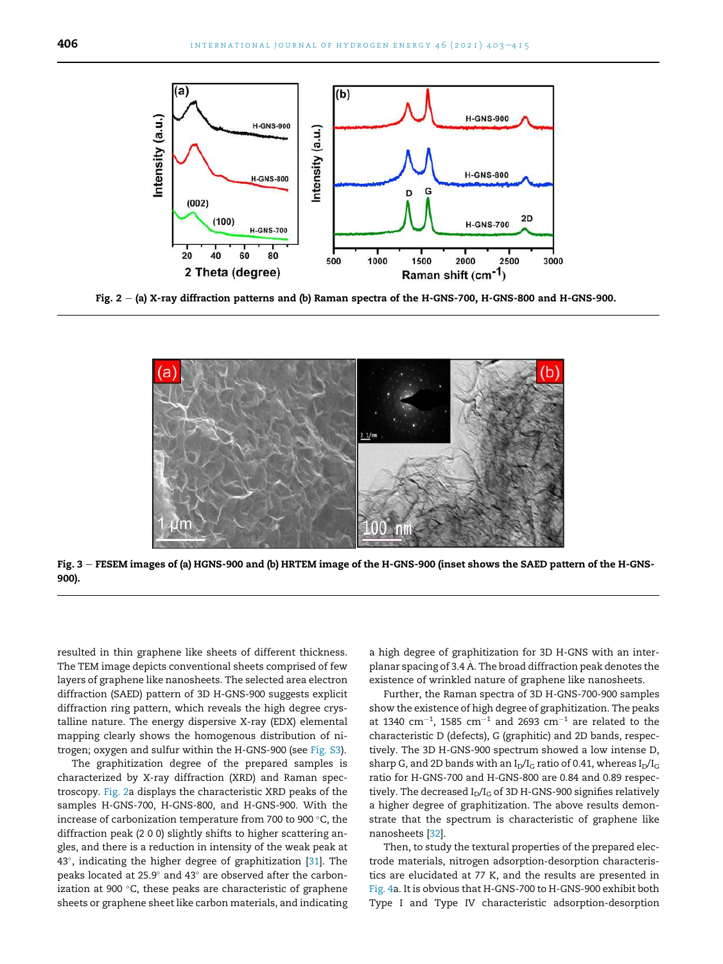

Fig.  $2 - (a)$  X-ray diffraction patterns and (b) Raman spectra of the H-GNS-700, H-GNS-800 and H-GNS-900.



Fig. 3 - FESEM images of (a) HGNS-900 and (b) HRTEM image of the H-GNS-900 (inset shows the SAED pattern of the H-GNS-900).

resulted in thin graphene like sheets of different thickness. The TEM image depicts conventional sheets comprised of few layers of graphene like nanosheets. The selected area electron diffraction (SAED) pattern of 3D H-GNS-900 suggests explicit diffraction ring pattern, which reveals the high degree crystalline nature. The energy dispersive X-ray (EDX) elemental mapping clearly shows the homogenous distribution of nitrogen; oxygen and sulfur within the H-GNS-900 (see Fig. S3).

The graphitization degree of the prepared samples is characterized by X-ray diffraction (XRD) and Raman spectroscopy. Fig. 2a displays the characteristic XRD peaks of the samples H-GNS-700, H-GNS-800, and H-GNS-900. With the increase of carbonization temperature from 700 to 900 $^{\circ}$ C, the diffraction peak (2 0 0) slightly shifts to higher scattering angles, and there is a reduction in intensity of the weak peak at 43°, indicating the higher degree of graphitization [31]. The peaks located at 25.9 $^{\circ}$  and 43 $^{\circ}$  are observed after the carbonization at 900 $\degree$ C, these peaks are characteristic of graphene sheets or graphene sheet like carbon materials, and indicating

a high degree of graphitization for 3D H-GNS with an interplanar spacing of 3.4 A. The broad diffraction peak denotes the existence of wrinkled nature of graphene like nanosheets.

Further, the Raman spectra of 3D H-GNS-700-900 samples show the existence of high degree of graphitization. The peaks at 1340  $\text{cm}^{-1}$ , 1585  $\text{cm}^{-1}$  and 2693  $\text{cm}^{-1}$  are related to the characteristic D (defects), G (graphitic) and 2D bands, respectively. The 3D H-GNS-900 spectrum showed a low intense D, sharp G, and 2D bands with an  $I_D/I_G$  ratio of 0.41, whereas  $I_D/I_G$ ratio for H-GNS-700 and H-GNS-800 are 0.84 and 0.89 respectively. The decreased  $I_D/I_G$  of 3D H-GNS-900 signifies relatively a higher degree of graphitization. The above results demonstrate that the spectrum is characteristic of graphene like nanosheets [32].

Then, to study the textural properties of the prepared electrode materials, nitrogen adsorption-desorption characteristics are elucidated at 77 K, and the results are presented in Fig. 4a. It is obvious that H-GNS-700 to H-GNS-900 exhibit both Type I and Type IV characteristic adsorption-desorption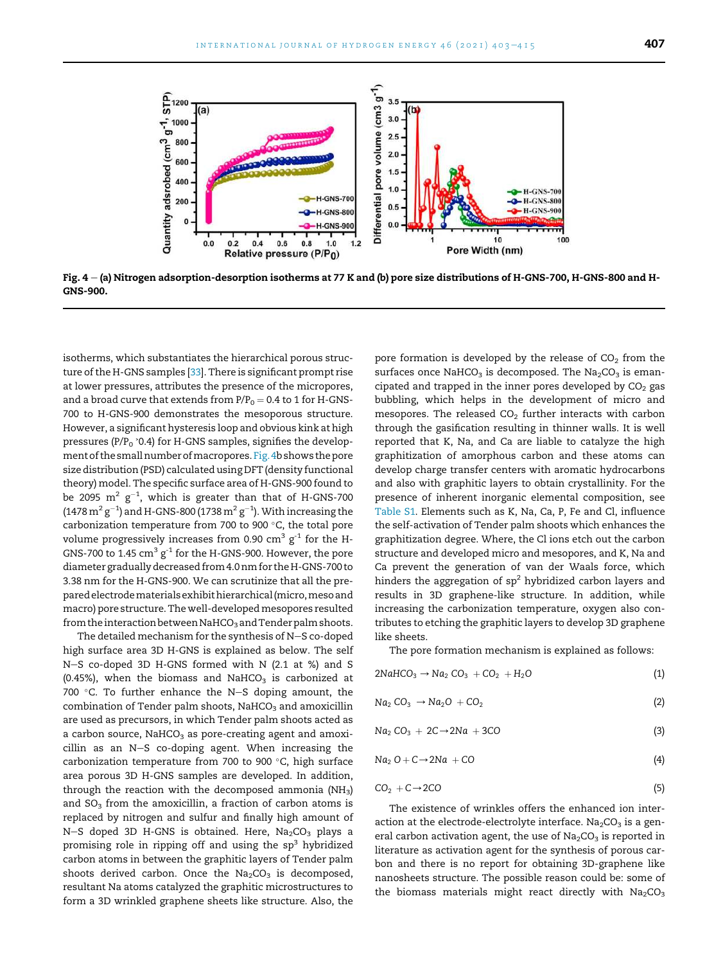

Fig.  $4 - (a)$  Nitrogen adsorption-desorption isotherms at 77 K and (b) pore size distributions of H-GNS-700, H-GNS-800 and H-GNS-900.

isotherms, which substantiates the hierarchical porous structure of the H-GNS samples [33]. There is significant prompt rise at lower pressures, attributes the presence of the micropores, and a broad curve that extends from  $P/P_0 = 0.4$  to 1 for H-GNS-700 to H-GNS-900 demonstrates the mesoporous structure. However, a significant hysteresis loop and obvious kink at high pressures ( $P/P_0$   $\degree$ 0.4) for H-GNS samples, signifies the development of the small number of macropores. Fig. 4b shows the pore size distribution (PSD) calculated using DFT (density functional theory) model. The specific surface area of H-GNS-900 found to be 2095  $\mathrm{m^{2}}$   $\mathrm{g^{-1}}$ , which is greater than that of H-GNS-700 (1478  $\mathrm{m^2\,g^{-1}}$ ) and H-GNS-800 (1738  $\mathrm{m^2\,g^{-1}}$ ). With increasing the carbonization temperature from 700 to 900 $\degree$ C, the total pore volume progressively increases from 0.90  $\rm cm^3~g^{\text{-}1}$  for the H-GNS-700 to 1.45  $\rm cm^3\, g^{\text{-}1}$  for the H-GNS-900. However, the pore diameter gradually decreased from 4.0 nm for the H-GNS-700 to 3.38 nm for the H-GNS-900. We can scrutinize that all the prepared electrodematerials exhibithierarchical (micro,meso and macro) pore structure. The well-developedmesopores resulted from the interaction between NaHCO<sub>3</sub> and Tender palm shoots.

The detailed mechanism for the synthesis of N-S co-doped high surface area 3D H-GNS is explained as below. The self N-S co-doped 3D H-GNS formed with N (2.1 at %) and S (0.45%), when the biomass and NaHCO<sub>3</sub> is carbonized at 700 °C. To further enhance the N-S doping amount, the combination of Tender palm shoots,  $NaHCO<sub>3</sub>$  and amoxicillin are used as precursors, in which Tender palm shoots acted as a carbon source,  $NAHCO<sub>3</sub>$  as pore-creating agent and amoxicillin as an N-S co-doping agent. When increasing the carbonization temperature from 700 to 900 $\degree$ C, high surface area porous 3D H-GNS samples are developed. In addition, through the reaction with the decomposed ammonia ( $NH<sub>3</sub>$ ) and  $SO<sub>3</sub>$  from the amoxicillin, a fraction of carbon atoms is replaced by nitrogen and sulfur and finally high amount of N-S doped 3D H-GNS is obtained. Here,  $Na<sub>2</sub>CO<sub>3</sub>$  plays a promising role in ripping off and using the  $sp<sup>3</sup>$  hybridized carbon atoms in between the graphitic layers of Tender palm shoots derived carbon. Once the  $Na<sub>2</sub>CO<sub>3</sub>$  is decomposed, resultant Na atoms catalyzed the graphitic microstructures to form a 3D wrinkled graphene sheets like structure. Also, the

pore formation is developed by the release of  $CO<sub>2</sub>$  from the surfaces once NaHCO<sub>3</sub> is decomposed. The Na<sub>2</sub>CO<sub>3</sub> is emancipated and trapped in the inner pores developed by  $CO<sub>2</sub>$  gas bubbling, which helps in the development of micro and mesopores. The released  $CO<sub>2</sub>$  further interacts with carbon through the gasification resulting in thinner walls. It is well reported that K, Na, and Ca are liable to catalyze the high graphitization of amorphous carbon and these atoms can develop charge transfer centers with aromatic hydrocarbons and also with graphitic layers to obtain crystallinity. For the presence of inherent inorganic elemental composition, see Table S1. Elements such as K, Na, Ca, P, Fe and Cl, influence the self-activation of Tender palm shoots which enhances the graphitization degree. Where, the Cl ions etch out the carbon structure and developed micro and mesopores, and K, Na and Ca prevent the generation of van der Waals force, which hinders the aggregation of  $sp<sup>2</sup>$  hybridized carbon layers and results in 3D graphene-like structure. In addition, while increasing the carbonization temperature, oxygen also contributes to etching the graphitic layers to develop 3D graphene like sheets.

The pore formation mechanism is explained as follows:

$$
2NaHCO3 \rightarrow Na2 CO3 + CO2 + H2O
$$
 (1)

$$
Na_2 CO_3 \rightarrow Na_2O + CO_2 \tag{2}
$$

$$
Na_2 CO_3 + 2C \rightarrow 2Na + 3CO \tag{3}
$$

$$
Na2 O + C \rightarrow 2Na + CO
$$
 (4)

$$
CO_2 + C \rightarrow 2CO \tag{5}
$$

The existence of wrinkles offers the enhanced ion interaction at the electrode-electrolyte interface.  $Na<sub>2</sub>CO<sub>3</sub>$  is a general carbon activation agent, the use of  $Na<sub>2</sub>CO<sub>3</sub>$  is reported in literature as activation agent for the synthesis of porous carbon and there is no report for obtaining 3D-graphene like nanosheets structure. The possible reason could be: some of the biomass materials might react directly with  $\rm Na_2CO_3$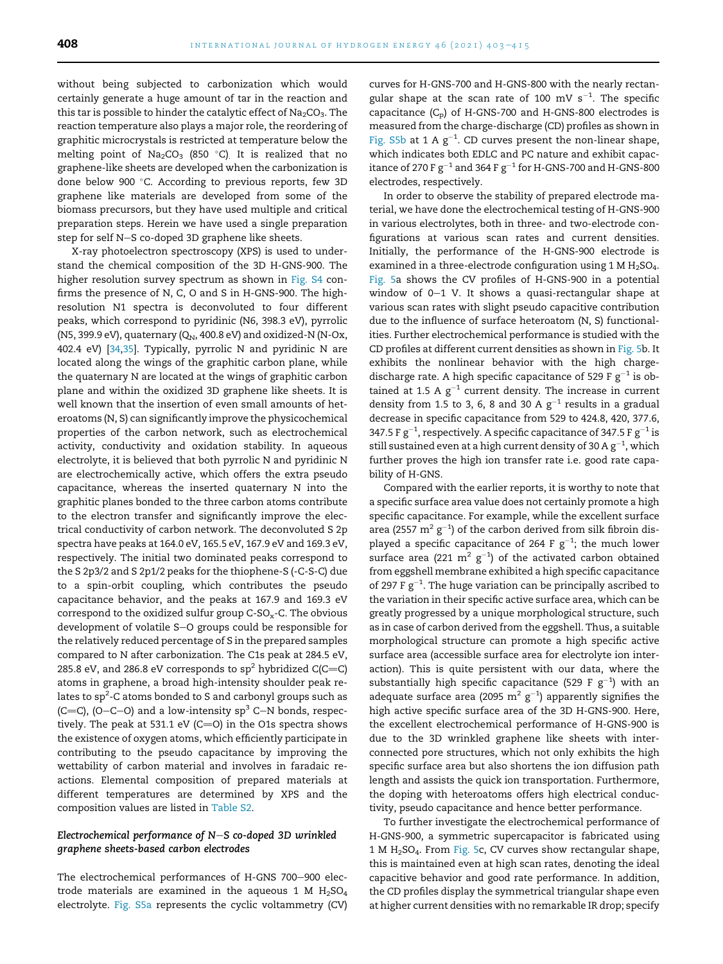without being subjected to carbonization which would certainly generate a huge amount of tar in the reaction and this tar is possible to hinder the catalytic effect of  $Na<sub>2</sub>CO<sub>3</sub>$ . The reaction temperature also plays a major role, the reordering of graphitic microcrystals is restricted at temperature below the melting point of Na2CO3 (850  $^{\circ}$ C). It is realized that no graphene-like sheets are developed when the carbonization is done below 900 °C. According to previous reports, few 3D graphene like materials are developed from some of the biomass precursors, but they have used multiple and critical preparation steps. Herein we have used a single preparation step for self N-S co-doped 3D graphene like sheets.

X-ray photoelectron spectroscopy (XPS) is used to understand the chemical composition of the 3D H-GNS-900. The higher resolution survey spectrum as shown in Fig. S4 confirms the presence of N, C, O and S in H-GNS-900. The highresolution N1 spectra is deconvoluted to four different peaks, which correspond to pyridinic (N6, 398.3 eV), pyrrolic (N5, 399.9 eV), quaternary ( $Q_N$ , 400.8 eV) and oxidized-N (N-Ox, 402.4 eV) [34,35]. Typically, pyrrolic N and pyridinic N are located along the wings of the graphitic carbon plane, while the quaternary N are located at the wings of graphitic carbon plane and within the oxidized 3D graphene like sheets. It is well known that the insertion of even small amounts of heteroatoms (N, S) can significantly improve the physicochemical properties of the carbon network, such as electrochemical activity, conductivity and oxidation stability. In aqueous electrolyte, it is believed that both pyrrolic N and pyridinic N are electrochemically active, which offers the extra pseudo capacitance, whereas the inserted quaternary N into the graphitic planes bonded to the three carbon atoms contribute to the electron transfer and significantly improve the electrical conductivity of carbon network. The deconvoluted S 2p spectra have peaks at 164.0 eV, 165.5 eV, 167.9 eV and 169.3 eV, respectively. The initial two dominated peaks correspond to the S 2p3/2 and S 2p1/2 peaks for the thiophene-S (-C-S-C) due to a spin-orbit coupling, which contributes the pseudo capacitance behavior, and the peaks at 167.9 and 169.3 eV correspond to the oxidized sulfur group  $C-SO<sub>x</sub>-C$ . The obvious development of volatile S-O groups could be responsible for the relatively reduced percentage of S in the prepared samples compared to N after carbonization. The C1s peak at 284.5 eV, 285.8 eV, and 286.8 eV corresponds to  $sp^2$  hybridized C(C=C) atoms in graphene, a broad high-intensity shoulder peak relates to  ${\rm sp^2}$ -C atoms bonded to S and carbonyl groups such as (C=C), (O-C-O) and a low-intensity  $sp^3$  C-N bonds, respectively. The peak at 531.1 eV (C=O) in the O1s spectra shows the existence of oxygen atoms, which efficiently participate in contributing to the pseudo capacitance by improving the wettability of carbon material and involves in faradaic reactions. Elemental composition of prepared materials at different temperatures are determined by XPS and the composition values are listed in Table S2.

#### Electrochemical performance of  $N-S$  co-doped 3D wrinkled graphene sheets-based carbon electrodes

The electrochemical performances of H-GNS 700-900 electrode materials are examined in the aqueous 1 M  $H<sub>2</sub>SO<sub>4</sub>$ electrolyte. Fig. S5a represents the cyclic voltammetry (CV) curves for H-GNS-700 and H-GNS-800 with the nearly rectangular shape at the scan rate of 100 mV  $s^{-1}$ . The specific capacitance  $(C_p)$  of H-GNS-700 and H-GNS-800 electrodes is measured from the charge-discharge (CD) profiles as shown in Fig. S5b at 1 A  $g^{-1}$ . CD curves present the non-linear shape, which indicates both EDLC and PC nature and exhibit capacitance of 270 F  $\rm g^{-1}$  and 364 F  $\rm g^{-1}$  for H-GNS-700 and H-GNS-800 electrodes, respectively.

In order to observe the stability of prepared electrode material, we have done the electrochemical testing of H-GNS-900 in various electrolytes, both in three- and two-electrode configurations at various scan rates and current densities. Initially, the performance of the H-GNS-900 electrode is examined in a three-electrode configuration using 1 M  $H_2SO_4$ . Fig. 5a shows the CV profiles of H-GNS-900 in a potential window of  $0-1$  V. It shows a quasi-rectangular shape at various scan rates with slight pseudo capacitive contribution due to the influence of surface heteroatom (N, S) functionalities. Further electrochemical performance is studied with the CD profiles at different current densities as shown in Fig. 5b. It exhibits the nonlinear behavior with the high chargedischarge rate. A high specific capacitance of 529 F  $g^{-1}$  is obtained at 1.5 A  $g^{-1}$  current density. The increase in current density from 1.5 to 3, 6, 8 and 30 A  $g^{-1}$  results in a gradual decrease in specific capacitance from 529 to 424.8, 420, 377.6, 347.5 F g<sup>-1</sup>, respectively. A specific capacitance of 347.5 F g<sup>-1</sup> is still sustained even at a high current density of 30 A  $\rm g^{-1}$ , which further proves the high ion transfer rate i.e. good rate capability of H-GNS.

Compared with the earlier reports, it is worthy to note that a specific surface area value does not certainly promote a high specific capacitance. For example, while the excellent surface area (2557  $m^2 g^{-1}$ ) of the carbon derived from silk fibroin displayed a specific capacitance of 264 F  $g^{-1}$ ; the much lower surface area (221  $m^2$   $g^{-1}$ ) of the activated carbon obtained from eggshell membrane exhibited a high specific capacitance of 297 F  $g^{-1}$ . The huge variation can be principally ascribed to the variation in their specific active surface area, which can be greatly progressed by a unique morphological structure, such as in case of carbon derived from the eggshell. Thus, a suitable morphological structure can promote a high specific active surface area (accessible surface area for electrolyte ion interaction). This is quite persistent with our data, where the substantially high specific capacitance (529 F  $g^{-1}$ ) with an adequate surface area (2095  $\mathrm{m^2\ g^{-1}}$ ) apparently signifies the high active specific surface area of the 3D H-GNS-900. Here, the excellent electrochemical performance of H-GNS-900 is due to the 3D wrinkled graphene like sheets with interconnected pore structures, which not only exhibits the high specific surface area but also shortens the ion diffusion path length and assists the quick ion transportation. Furthermore, the doping with heteroatoms offers high electrical conductivity, pseudo capacitance and hence better performance.

To further investigate the electrochemical performance of H-GNS-900, a symmetric supercapacitor is fabricated using 1MH2SO4. From Fig. 5c, CV curves show rectangular shape, this is maintained even at high scan rates, denoting the ideal capacitive behavior and good rate performance. In addition, the CD profiles display the symmetrical triangular shape even at higher current densities with no remarkable IR drop; specify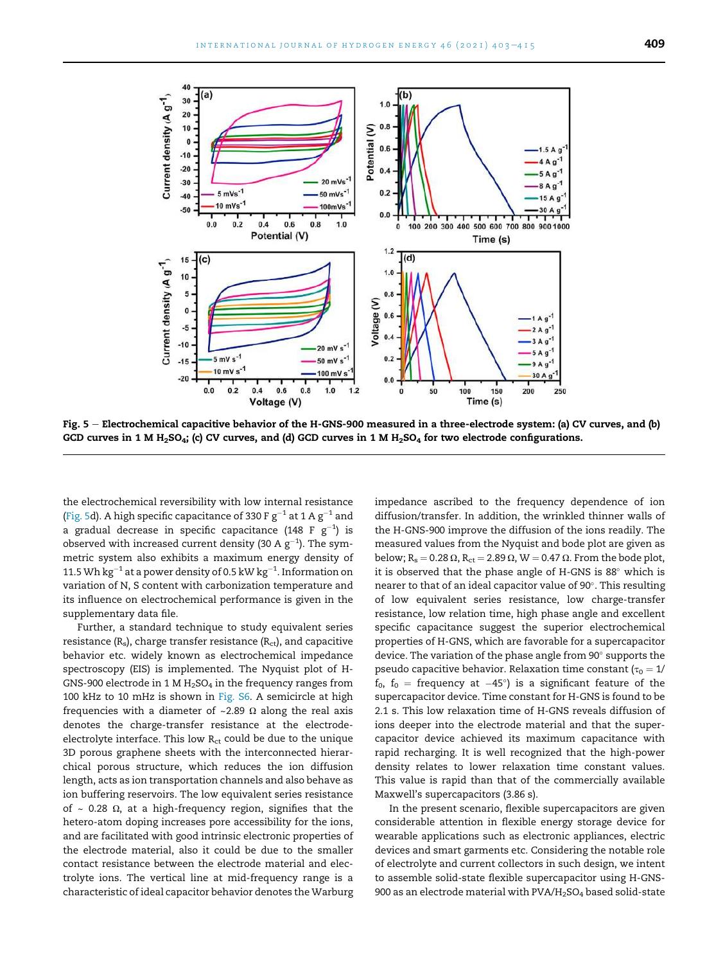

Fig. 5 - Electrochemical capacitive behavior of the H-GNS-900 measured in a three-electrode system: (a) CV curves, and (b) GCD curves in 1 M H<sub>2</sub>SO<sub>4</sub>; (c) CV curves, and (d) GCD curves in 1 M H<sub>2</sub>SO<sub>4</sub> for two electrode configurations.

the electrochemical reversibility with low internal resistance (Fig. 5d). A high specific capacitance of 330 F g $^{-1}$  at 1 A g $^{-1}$  and a gradual decrease in specific capacitance (148 F  $\rm g^{-1})$  is observed with increased current density (30 A  $\rm g^{-1}$ ). The symmetric system also exhibits a maximum energy density of 11.5 Wh  $\rm kg^{-1}$  at a power density of 0.5 kW  $\rm kg^{-1}$ . Information on variation of N, S content with carbonization temperature and its influence on electrochemical performance is given in the supplementary data file.

Further, a standard technique to study equivalent series resistance  $(R_s)$ , charge transfer resistance  $(R_{\rm ct})$ , and capacitive behavior etc. widely known as electrochemical impedance spectroscopy (EIS) is implemented. The Nyquist plot of H-GNS-900 electrode in 1 M  $H<sub>2</sub>SO<sub>4</sub>$  in the frequency ranges from 100 kHz to 10 mHz is shown in Fig. S6. A semicircle at high frequencies with a diameter of ~2.89  $\Omega$  along the real axis denotes the charge-transfer resistance at the electrodeelectrolyte interface. This low  $R<sub>ct</sub>$  could be due to the unique 3D porous graphene sheets with the interconnected hierarchical porous structure, which reduces the ion diffusion length, acts as ion transportation channels and also behave as ion buffering reservoirs. The low equivalent series resistance of  $\sim$  0.28  $\Omega$ , at a high-frequency region, signifies that the hetero-atom doping increases pore accessibility for the ions, and are facilitated with good intrinsic electronic properties of the electrode material, also it could be due to the smaller contact resistance between the electrode material and electrolyte ions. The vertical line at mid-frequency range is a characteristic of ideal capacitor behavior denotes the Warburg impedance ascribed to the frequency dependence of ion diffusion/transfer. In addition, the wrinkled thinner walls of the H-GNS-900 improve the diffusion of the ions readily. The measured values from the Nyquist and bode plot are given as below; R<sub>s</sub> = 0.28  $\Omega$ , R<sub>ct</sub> = 2.89  $\Omega$ , W = 0.47  $\Omega$ . From the bode plot, it is observed that the phase angle of H-GNS is  $88^\circ$  which is nearer to that of an ideal capacitor value of 90 . This resulting of low equivalent series resistance, low charge-transfer resistance, low relation time, high phase angle and excellent specific capacitance suggest the superior electrochemical properties of H-GNS, which are favorable for a supercapacitor device. The variation of the phase angle from 90° supports the pseudo capacitive behavior. Relaxation time constant ( $\tau_0 = 1/2$  $\rm f_{0},~f_{0}$  = frequency at  $-45^{\circ})$  is a significant feature of the supercapacitor device. Time constant for H-GNS is found to be 2.1 s. This low relaxation time of H-GNS reveals diffusion of ions deeper into the electrode material and that the supercapacitor device achieved its maximum capacitance with rapid recharging. It is well recognized that the high-power density relates to lower relaxation time constant values. This value is rapid than that of the commercially available Maxwell's supercapacitors (3.86 s).

In the present scenario, flexible supercapacitors are given considerable attention in flexible energy storage device for wearable applications such as electronic appliances, electric devices and smart garments etc. Considering the notable role of electrolyte and current collectors in such design, we intent to assemble solid-state flexible supercapacitor using H-GNS-900 as an electrode material with  $PVA/H<sub>2</sub>SO<sub>4</sub>$  based solid-state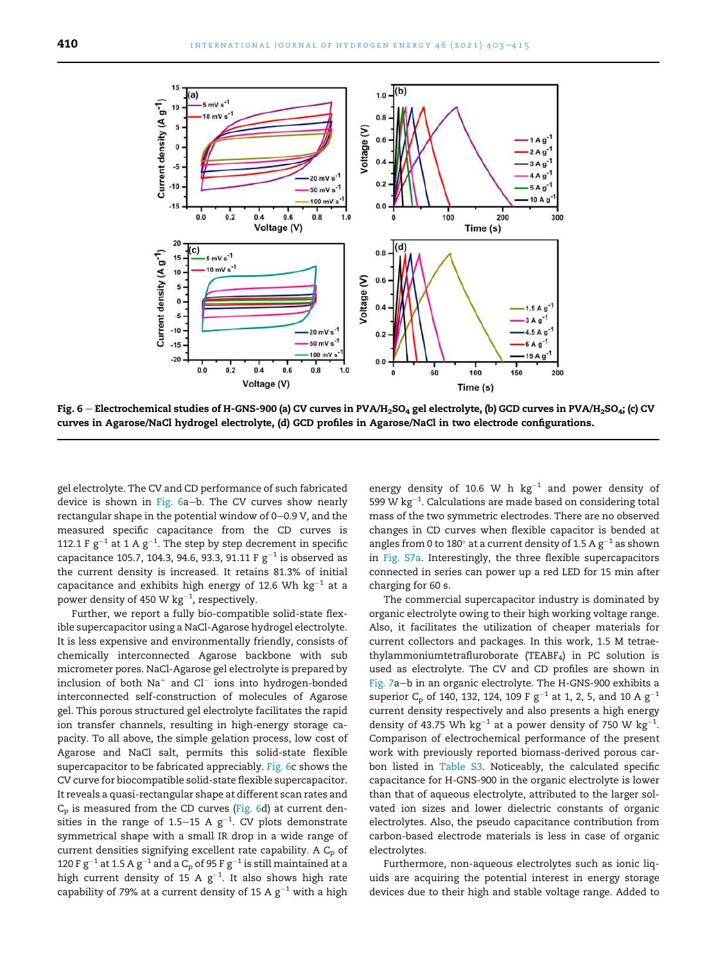

Fig.  $6$  – Electrochemical studies of H-GNS-900 (a) CV curves in PVA/H<sub>2</sub>SO<sub>4</sub> gel electrolyte, (b) GCD curves in PVA/H<sub>2</sub>SO<sub>4</sub>; (c) CV curves in Agarose/NaCl hydrogel electrolyte, (d) GCD profiles in Agarose/NaCl in two electrode configurations.

gel electrolyte. The CV and CD performance of such fabricated device is shown in Fig.  $6a-b$ . The CV curves show nearly rectangular shape in the potential window of  $0-0.9$  V, and the measured specific capacitance from the CD curves is 112.1 F  $g^{-1}$  at 1 A  $g^{-1}$ . The step by step decrement in specific capacitance 105.7, 104.3, 94.6, 93.3, 91.11 F  $\rm g^{-1}$  is observed as the current density is increased. It retains 81.3% of initial capacitance and exhibits high energy of 12.6 Wh  $\text{kg}^{-1}$  at a power density of 450 W  $\rm kg^{-1}$ , respectively.

Further, we report a fully bio-compatible solid-state flexible supercapacitor using a NaCl-Agarose hydrogel electrolyte. It is less expensive and environmentally friendly, consists of chemically interconnected Agarose backbone with sub micrometer pores. NaCl-Agarose gel electrolyte is prepared by inclusion of both  $Na^+$  and  $Cl^-$  ions into hydrogen-bonded interconnected self-construction of molecules of Agarose gel. This porous structured gel electrolyte facilitates the rapid ion transfer channels, resulting in high-energy storage capacity. To all above, the simple gelation process, low cost of Agarose and NaCl salt, permits this solid-state flexible supercapacitor to be fabricated appreciably. Fig. 6c shows the CV curve for biocompatible solid-state flexible supercapacitor. It reveals a quasi-rectangular shape at different scan rates and  $C_p$  is measured from the CD curves (Fig. 6d) at current densities in the range of 1.5–15 A  $g^{-1}$ . CV plots demonstrate symmetrical shape with a small IR drop in a wide range of current densities signifying excellent rate capability. A  $C_p$  of 120 F g $^{-1}$  at 1.5 A g $^{-1}$  and a C<sub>p</sub> of 95 F g $^{-1}$  is still maintained at a high current density of 15 A  $g^{-1}$ . It also shows high rate capability of 79% at a current density of 15 A  $g^{-1}$  with a high

energy density of 10.6 W h  $kg^{-1}$  and power density of 599 W  $kg^{-1}$ . Calculations are made based on considering total mass of the two symmetric electrodes. There are no observed changes in CD curves when flexible capacitor is bended at angles from 0 to 180 $^{\circ}$  at a current density of 1.5 A g $^{-1}$  as shown in Fig. S7a. Interestingly, the three flexible supercapacitors connected in series can power up a red LED for 15 min after charging for 60 s.

The commercial supercapacitor industry is dominated by organic electrolyte owing to their high working voltage range. Also, it facilitates the utilization of cheaper materials for current collectors and packages. In this work, 1.5 M tetraethylammoniumtetrafluroborate (TEABF4) in PC solution is used as electrolyte. The CV and CD profiles are shown in Fig. 7a-b in an organic electrolyte. The H-GNS-900 exhibits a superior  $C_p$  of 140, 132, 124, 109 F  $g^{-1}$  at 1, 2, 5, and 10 A  $g^{-1}$ current density respectively and also presents a high energy density of 43.75 Wh  $kg^{-1}$  at a power density of 750 W  $kg^{-1}$ . Comparison of electrochemical performance of the present work with previously reported biomass-derived porous carbon listed in Table S3. Noticeably, the calculated specific capacitance for H-GNS-900 in the organic electrolyte is lower than that of aqueous electrolyte, attributed to the larger solvated ion sizes and lower dielectric constants of organic electrolytes. Also, the pseudo capacitance contribution from carbon-based electrode materials is less in case of organic electrolytes.

Furthermore, non-aqueous electrolytes such as ionic liquids are acquiring the potential interest in energy storage devices due to their high and stable voltage range. Added to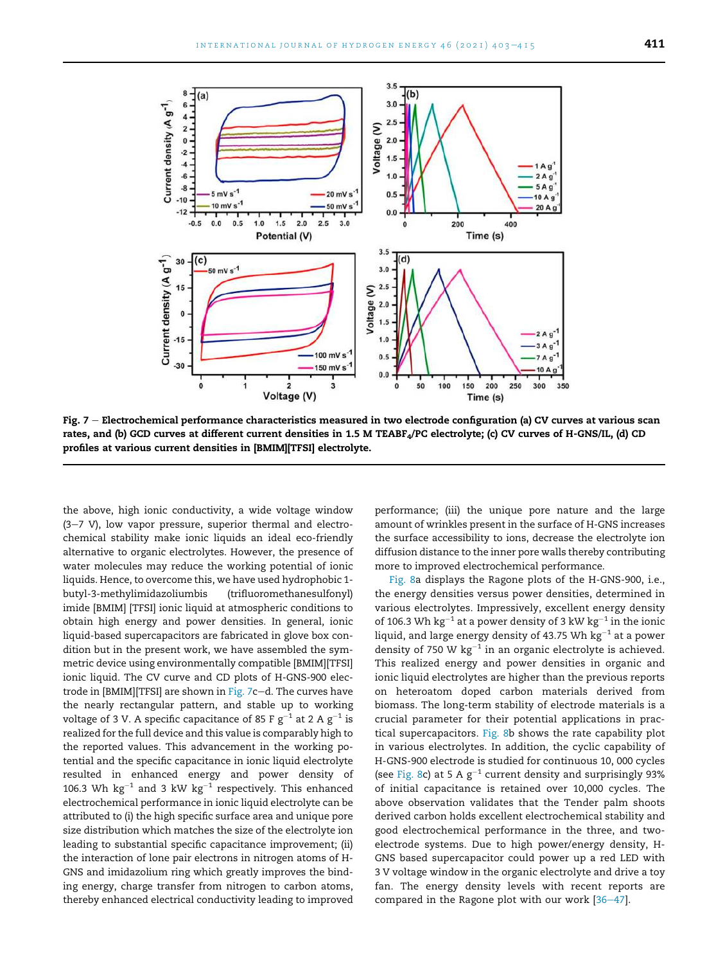

Fig.  $7$  – Electrochemical performance characteristics measured in two electrode configuration (a) CV curves at various scan rates, and (b) GCD curves at different current densities in 1.5 M TEABF<sub>4</sub>/PC electrolyte; (c) CV curves of H-GNS/IL, (d) CD profiles at various current densities in [BMIM][TFSI] electrolyte.

the above, high ionic conductivity, a wide voltage window  $(3-7 V)$ , low vapor pressure, superior thermal and electrochemical stability make ionic liquids an ideal eco-friendly alternative to organic electrolytes. However, the presence of water molecules may reduce the working potential of ionic liquids. Hence, to overcome this, we have used hydrophobic 1 butyl-3-methylimidazoliumbis (trifluoromethanesulfonyl) imide [BMIM] [TFSI] ionic liquid at atmospheric conditions to obtain high energy and power densities. In general, ionic liquid-based supercapacitors are fabricated in glove box condition but in the present work, we have assembled the symmetric device using environmentally compatible [BMIM][TFSI] ionic liquid. The CV curve and CD plots of H-GNS-900 electrode in  $[BMIM][TFSI]$  are shown in Fig. 7c-d. The curves have the nearly rectangular pattern, and stable up to working voltage of 3 V. A specific capacitance of 85 F  $\rm g^{-1}$  at 2 A  $\rm g^{-1}$  is realized for the full device and this value is comparably high to the reported values. This advancement in the working potential and the specific capacitance in ionic liquid electrolyte resulted in enhanced energy and power density of 106.3 Wh  $\text{kg}^{-1}$  and 3 kW  $\text{kg}^{-1}$  respectively. This enhanced electrochemical performance in ionic liquid electrolyte can be attributed to (i) the high specific surface area and unique pore size distribution which matches the size of the electrolyte ion leading to substantial specific capacitance improvement; (ii) the interaction of lone pair electrons in nitrogen atoms of H-GNS and imidazolium ring which greatly improves the binding energy, charge transfer from nitrogen to carbon atoms, thereby enhanced electrical conductivity leading to improved performance; (iii) the unique pore nature and the large amount of wrinkles present in the surface of H-GNS increases the surface accessibility to ions, decrease the electrolyte ion diffusion distance to the inner pore walls thereby contributing more to improved electrochemical performance.

Fig. 8a displays the Ragone plots of the H-GNS-900, i.e., the energy densities versus power densities, determined in various electrolytes. Impressively, excellent energy density of 106.3 Wh  $\text{kg}^{-1}$  at a power density of 3 kW  $\text{kg}^{-1}$  in the ionic liquid, and large energy density of 43.75 Wh  $\rm kg^{-1}$  at a power density of 750 W  $kg^{-1}$  in an organic electrolyte is achieved. This realized energy and power densities in organic and ionic liquid electrolytes are higher than the previous reports on heteroatom doped carbon materials derived from biomass. The long-term stability of electrode materials is a crucial parameter for their potential applications in practical supercapacitors. Fig. 8b shows the rate capability plot in various electrolytes. In addition, the cyclic capability of H-GNS-900 electrode is studied for continuous 10, 000 cycles (see Fig. 8c) at 5 A  $g^{-1}$  current density and surprisingly 93% of initial capacitance is retained over 10,000 cycles. The above observation validates that the Tender palm shoots derived carbon holds excellent electrochemical stability and good electrochemical performance in the three, and twoelectrode systems. Due to high power/energy density, H-GNS based supercapacitor could power up a red LED with 3 V voltage window in the organic electrolyte and drive a toy fan. The energy density levels with recent reports are compared in the Ragone plot with our work  $[36-47]$ .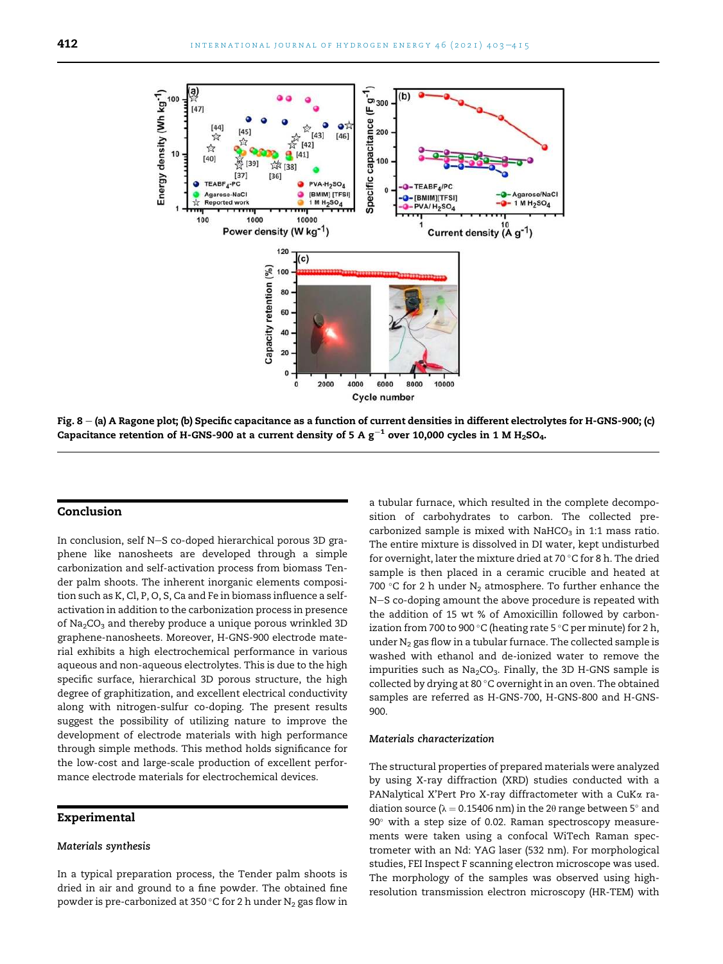

Fig.  $8 - (a)$  A Ragone plot; (b) Specific capacitance as a function of current densities in different electrolytes for H-GNS-900; (c) Capacitance retention of H-GNS-900 at a current density of 5 A  $\rm g^{-1}$  over 10,000 cycles in 1 M H<sub>2</sub>SO<sub>4</sub>.

#### Conclusion

In conclusion, self N-S co-doped hierarchical porous 3D graphene like nanosheets are developed through a simple carbonization and self-activation process from biomass Tender palm shoots. The inherent inorganic elements composition such as K, Cl, P, O, S, Ca and Fe in biomass influence a selfactivation in addition to the carbonization process in presence of  $Na<sub>2</sub>CO<sub>3</sub>$  and thereby produce a unique porous wrinkled 3D graphene-nanosheets. Moreover, H-GNS-900 electrode material exhibits a high electrochemical performance in various aqueous and non-aqueous electrolytes. This is due to the high specific surface, hierarchical 3D porous structure, the high degree of graphitization, and excellent electrical conductivity along with nitrogen-sulfur co-doping. The present results suggest the possibility of utilizing nature to improve the development of electrode materials with high performance through simple methods. This method holds significance for the low-cost and large-scale production of excellent performance electrode materials for electrochemical devices.

#### Experimental

#### Materials synthesis

In a typical preparation process, the Tender palm shoots is dried in air and ground to a fine powder. The obtained fine powder is pre-carbonized at 350 °C for 2 h under  $N_2$  gas flow in a tubular furnace, which resulted in the complete decomposition of carbohydrates to carbon. The collected precarbonized sample is mixed with NaHCO<sub>3</sub> in 1:1 mass ratio. The entire mixture is dissolved in DI water, kept undisturbed for overnight, later the mixture dried at 70  $\degree$ C for 8 h. The dried sample is then placed in a ceramic crucible and heated at 700 °C for 2 h under  $N_2$  atmosphere. To further enhance the N-S co-doping amount the above procedure is repeated with the addition of 15 wt % of Amoxicillin followed by carbonization from 700 to 900 °C (heating rate 5 °C per minute) for 2 h, under  $N_2$  gas flow in a tubular furnace. The collected sample is washed with ethanol and de-ionized water to remove the impurities such as  $Na<sub>2</sub>CO<sub>3</sub>$ . Finally, the 3D H-GNS sample is collected by drying at 80 °C overnight in an oven. The obtained samples are referred as H-GNS-700, H-GNS-800 and H-GNS-900.

#### Materials characterization

The structural properties of prepared materials were analyzed by using X-ray diffraction (XRD) studies conducted with a PANalytical X'Pert Pro X-ray diffractometer with a CuKa radiation source ( $\lambda = 0.15406$  nm) in the 2 $\theta$  range between 5 $^{\circ}$  and  $90^\circ$  with a step size of 0.02. Raman spectroscopy measurements were taken using a confocal WiTech Raman spectrometer with an Nd: YAG laser (532 nm). For morphological studies, FEI Inspect F scanning electron microscope was used. The morphology of the samples was observed using highresolution transmission electron microscopy (HR-TEM) with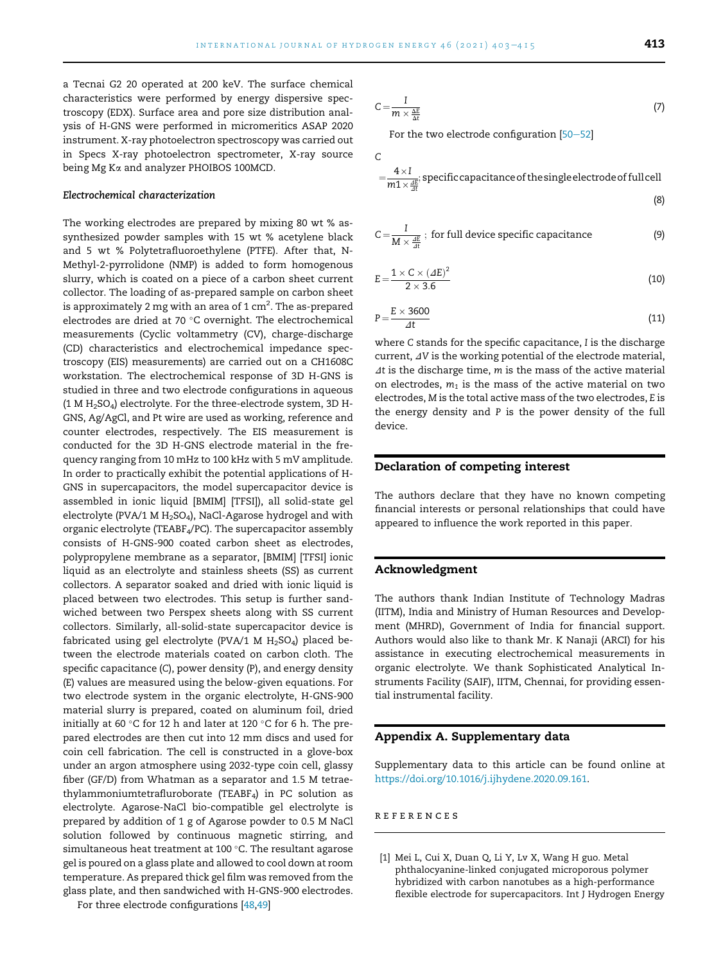a Tecnai G2 20 operated at 200 keV. The surface chemical characteristics were performed by energy dispersive spectroscopy (EDX). Surface area and pore size distribution analysis of H-GNS were performed in micromeritics ASAP 2020 instrument. X-ray photoelectron spectroscopy was carried out in Specs X-ray photoelectron spectrometer, X-ray source being Mg Ka and analyzer PHOIBOS 100MCD.

#### Electrochemical characterization

The working electrodes are prepared by mixing 80 wt % assynthesized powder samples with 15 wt % acetylene black and 5 wt % Polytetrafluoroethylene (PTFE). After that, N-Methyl-2-pyrrolidone (NMP) is added to form homogenous slurry, which is coated on a piece of a carbon sheet current collector. The loading of as-prepared sample on carbon sheet is approximately 2 mg with an area of 1 cm $^2\!\!$  . The as-prepared electrodes are dried at 70  $^{\circ}$ C overnight. The electrochemical measurements (Cyclic voltammetry (CV), charge-discharge (CD) characteristics and electrochemical impedance spectroscopy (EIS) measurements) are carried out on a CH1608C workstation. The electrochemical response of 3D H-GNS is studied in three and two electrode configurations in aqueous (1 M H2SO4) electrolyte. For the three-electrode system, 3D H-GNS, Ag/AgCl, and Pt wire are used as working, reference and counter electrodes, respectively. The EIS measurement is conducted for the 3D H-GNS electrode material in the frequency ranging from 10 mHz to 100 kHz with 5 mV amplitude. In order to practically exhibit the potential applications of H-GNS in supercapacitors, the model supercapacitor device is assembled in ionic liquid [BMIM] [TFSI]), all solid-state gel electrolyte (PVA/1 M  $H_2$ SO<sub>4</sub>), NaCl-Agarose hydrogel and with organic electrolyte (TEABF4/PC). The supercapacitor assembly consists of H-GNS-900 coated carbon sheet as electrodes, polypropylene membrane as a separator, [BMIM] [TFSI] ionic liquid as an electrolyte and stainless sheets (SS) as current collectors. A separator soaked and dried with ionic liquid is placed between two electrodes. This setup is further sandwiched between two Perspex sheets along with SS current collectors. Similarly, all-solid-state supercapacitor device is fabricated using gel electrolyte (PVA/1 M  $H_2SO_4$ ) placed between the electrode materials coated on carbon cloth. The specific capacitance (C), power density (P), and energy density (E) values are measured using the below-given equations. For two electrode system in the organic electrolyte, H-GNS-900 material slurry is prepared, coated on aluminum foil, dried initially at 60 °C for 12 h and later at 120 °C for 6 h. The prepared electrodes are then cut into 12 mm discs and used for coin cell fabrication. The cell is constructed in a glove-box under an argon atmosphere using 2032-type coin cell, glassy fiber (GF/D) from Whatman as a separator and 1.5 M tetraethylammoniumtetrafluroborate (TEABF<sub>4</sub>) in PC solution as electrolyte. Agarose-NaCl bio-compatible gel electrolyte is prepared by addition of 1 g of Agarose powder to 0.5 M NaCl solution followed by continuous magnetic stirring, and simultaneous heat treatment at 100 $^{\circ}$ C. The resultant agarose gel is poured on a glass plate and allowed to cool down at room temperature. As prepared thick gel film was removed from the glass plate, and then sandwiched with H-GNS-900 electrodes.

For three electrode configurations [48,49]

$$
C = \frac{I}{m \times \frac{\Delta E}{\Delta t}}
$$
 (7)

For the two electrode configuration  $[50-52]$ 

 $\overline{C}$ 

$$
=\frac{4 \times I}{m1 \times \frac{dE}{dt}}
$$
, specific capacitance of the single electrode of full cell

$$
C = \frac{I}{M \times \frac{dE}{dt}}
$$
; for full device specific capacitance (9)

$$
E = \frac{1 \times C \times (AE)^2}{2 \times 3.6}
$$
 (10)

$$
P = \frac{E \times 3600}{\Delta t} \tag{11}
$$

where C stands for the specific capacitance, I is the discharge current,  $\Delta V$  is the working potential of the electrode material,  $\Delta t$  is the discharge time, m is the mass of the active material on electrodes,  $m_1$  is the mass of the active material on two electrodes, M is the total active mass of the two electrodes, E is the energy density and P is the power density of the full device.

#### Declaration of competing interest

The authors declare that they have no known competing financial interests or personal relationships that could have appeared to influence the work reported in this paper.

#### Acknowledgment

The authors thank Indian Institute of Technology Madras (IITM), India and Ministry of Human Resources and Development (MHRD), Government of India for financial support. Authors would also like to thank Mr. K Nanaji (ARCI) for his assistance in executing electrochemical measurements in organic electrolyte. We thank Sophisticated Analytical Instruments Facility (SAIF), IITM, Chennai, for providing essential instrumental facility.

#### Appendix A. Supplementary data

Supplementary data to this article can be found online at https://doi.org/10.1016/j.ijhydene.2020.09.161.

#### references

[1] Mei L, Cui X, Duan Q, Li Y, Lv X, Wang H guo. Metal phthalocyanine-linked conjugated microporous polymer hybridized with carbon nanotubes as a high-performance flexible electrode for supercapacitors. Int J Hydrogen Energy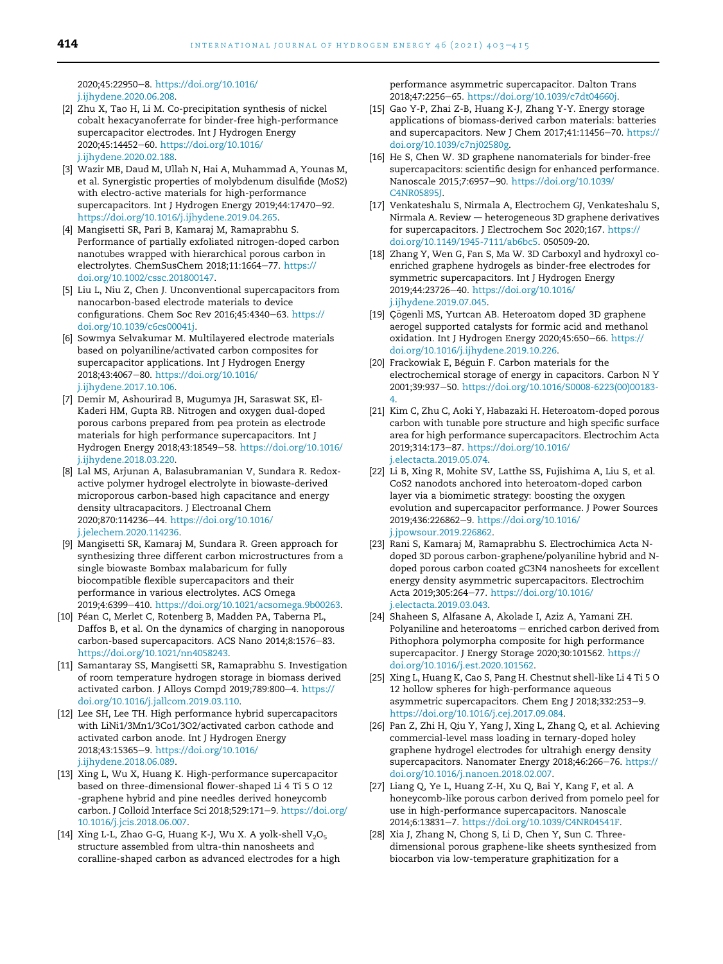2020;45:22950-8. https://doi.org/10.1016/ j.ijhydene.2020.06.208.

- [2] Zhu X, Tao H, Li M. Co-precipitation synthesis of nickel cobalt hexacyanoferrate for binder-free high-performance supercapacitor electrodes. Int J Hydrogen Energy 2020;45:14452-60. https://doi.org/10.1016/ j.ijhydene.2020.02.188.
- [3] Wazir MB, Daud M, Ullah N, Hai A, Muhammad A, Younas M, et al. Synergistic properties of molybdenum disulfide (MoS2) with electro-active materials for high-performance supercapacitors. Int J Hydrogen Energy 2019;44:17470-92. https://doi.org/10.1016/j.ijhydene.2019.04.265.
- [4] Mangisetti SR, Pari B, Kamaraj M, Ramaprabhu S. Performance of partially exfoliated nitrogen-doped carbon nanotubes wrapped with hierarchical porous carbon in electrolytes. ChemSusChem 2018;11:1664-77. https:// doi.org/10.1002/cssc.201800147.
- [5] Liu L, Niu Z, Chen J. Unconventional supercapacitors from nanocarbon-based electrode materials to device configurations. Chem Soc Rev 2016;45:4340-63. https:// doi.org/10.1039/c6cs00041j.
- [6] Sowmya Selvakumar M. Multilayered electrode materials based on polyaniline/activated carbon composites for supercapacitor applications. Int J Hydrogen Energy 2018;43:4067-80. https://doi.org/10.1016/ j.ijhydene.2017.10.106.
- [7] Demir M, Ashourirad B, Mugumya JH, Saraswat SK, El-Kaderi HM, Gupta RB. Nitrogen and oxygen dual-doped porous carbons prepared from pea protein as electrode materials for high performance supercapacitors. Int J Hydrogen Energy 2018;43:18549-58. https://doi.org/10.1016/ j.ijhydene.2018.03.220.
- [8] Lal MS, Arjunan A, Balasubramanian V, Sundara R. Redoxactive polymer hydrogel electrolyte in biowaste-derived microporous carbon-based high capacitance and energy density ultracapacitors. J Electroanal Chem 2020;870:114236-44. https://doi.org/10.1016/ j.jelechem.2020.114236.
- [9] Mangisetti SR, Kamaraj M, Sundara R. Green approach for synthesizing three different carbon microstructures from a single biowaste Bombax malabaricum for fully biocompatible flexible supercapacitors and their performance in various electrolytes. ACS Omega 2019;4:6399-410. https://doi.org/10.1021/acsomega.9b00263.
- [10] Péan C, Merlet C, Rotenberg B, Madden PA, Taberna PL, Daffos B, et al. On the dynamics of charging in nanoporous carbon-based supercapacitors. ACS Nano 2014;8:1576-83. https://doi.org/10.1021/nn4058243.
- [11] Samantaray SS, Mangisetti SR, Ramaprabhu S. Investigation of room temperature hydrogen storage in biomass derived activated carbon. J Alloys Compd 2019;789:800-4. https:// doi.org/10.1016/j.jallcom.2019.03.110.
- [12] Lee SH, Lee TH. High performance hybrid supercapacitors with LiNi1/3Mn1/3Co1/3O2/activated carbon cathode and activated carbon anode. Int J Hydrogen Energy 2018;43:15365-9. https://doi.org/10.1016/ j.ijhydene.2018.06.089.
- [13] Xing L, Wu X, Huang K. High-performance supercapacitor based on three-dimensional flower-shaped Li 4 Ti 5 O 12 -graphene hybrid and pine needles derived honeycomb carbon. J Colloid Interface Sci 2018;529:171-9. https://doi.org/ 10.1016/j.jcis.2018.06.007.
- [14] Xing L-L, Zhao G-G, Huang K-J, Wu X. A yolk-shell  $V_2O_5$ structure assembled from ultra-thin nanosheets and coralline-shaped carbon as advanced electrodes for a high

performance asymmetric supercapacitor. Dalton Trans 2018;47:2256-65. https://doi.org/10.1039/c7dt04660j.

- [15] Gao Y-P, Zhai Z-B, Huang K-J, Zhang Y-Y. Energy storage applications of biomass-derived carbon materials: batteries and supercapacitors. New J Chem 2017;41:11456-70. https:// doi.org/10.1039/c7nj02580g.
- [16] He S, Chen W. 3D graphene nanomaterials for binder-free supercapacitors: scientific design for enhanced performance. Nanoscale 2015;7:6957-90. https://doi.org/10.1039/ C4NR05895J.
- [17] Venkateshalu S, Nirmala A, Electrochem GJ, Venkateshalu S, Nirmala A. Review - heterogeneous 3D graphene derivatives for supercapacitors. J Electrochem Soc 2020;167. https:// doi.org/10.1149/1945-7111/ab6bc5. 050509-20.
- [18] Zhang Y, Wen G, Fan S, Ma W. 3D Carboxyl and hydroxyl coenriched graphene hydrogels as binder-free electrodes for symmetric supercapacitors. Int J Hydrogen Energy 2019;44:23726-40. https://doi.org/10.1016/ j.ijhydene.2019.07.045.
- [19] Çögenli MS, Yurtcan AB. Heteroatom doped 3D graphene aerogel supported catalysts for formic acid and methanol oxidation. Int J Hydrogen Energy 2020;45:650-66. https:// doi.org/10.1016/j.ijhydene.2019.10.226.
- [20] Frackowiak E, Béguin F. Carbon materials for the electrochemical storage of energy in capacitors. Carbon N Y 2001;39:937-50. https://doi.org/10.1016/S0008-6223(00)00183-4.
- [21] Kim C, Zhu C, Aoki Y, Habazaki H. Heteroatom-doped porous carbon with tunable pore structure and high specific surface area for high performance supercapacitors. Electrochim Acta 2019;314:173-87. https://doi.org/10.1016/ j.electacta.2019.05.074.
- [22] Li B, Xing R, Mohite SV, Latthe SS, Fujishima A, Liu S, et al. CoS2 nanodots anchored into heteroatom-doped carbon layer via a biomimetic strategy: boosting the oxygen evolution and supercapacitor performance. J Power Sources 2019;436:226862-9. https://doi.org/10.1016/ j.jpowsour.2019.226862.
- [23] Rani S, Kamaraj M, Ramaprabhu S. Electrochimica Acta Ndoped 3D porous carbon-graphene/polyaniline hybrid and Ndoped porous carbon coated gC3N4 nanosheets for excellent energy density asymmetric supercapacitors. Electrochim Acta 2019;305:264-77. https://doi.org/10.1016/ j.electacta.2019.03.043.
- [24] Shaheen S, Alfasane A, Akolade I, Aziz A, Yamani ZH. Polyaniline and heteroatoms - enriched carbon derived from Pithophora polymorpha composite for high performance supercapacitor. J Energy Storage 2020;30:101562. https:// doi.org/10.1016/j.est.2020.101562.
- [25] Xing L, Huang K, Cao S, Pang H. Chestnut shell-like Li 4 Ti 5 O 12 hollow spheres for high-performance aqueous asymmetric supercapacitors. Chem Eng J 2018;332:253-9. https://doi.org/10.1016/j.cej.2017.09.084.
- [26] Pan Z, Zhi H, Qiu Y, Yang J, Xing L, Zhang Q, et al. Achieving commercial-level mass loading in ternary-doped holey graphene hydrogel electrodes for ultrahigh energy density supercapacitors. Nanomater Energy 2018;46:266-76. https:// doi.org/10.1016/j.nanoen.2018.02.007.
- [27] Liang Q, Ye L, Huang Z-H, Xu Q, Bai Y, Kang F, et al. A honeycomb-like porous carbon derived from pomelo peel for use in high-performance supercapacitors. Nanoscale 2014;6:13831-7. https://doi.org/10.1039/C4NR04541F.
- [28] Xia J, Zhang N, Chong S, Li D, Chen Y, Sun C. Threedimensional porous graphene-like sheets synthesized from biocarbon via low-temperature graphitization for a